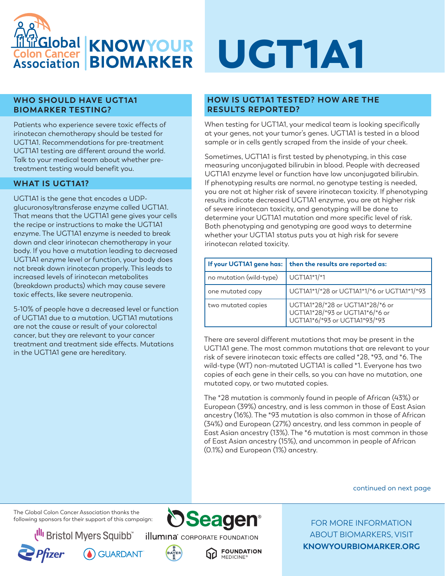

# **WHO SHOULD HAVE UGT1A1 BIOMARKER TESTING?**

Patients who experience severe toxic effects of irinotecan chemotherapy should be tested for UGT1A1. Recommendations for pre-treatment UGT1A1 testing are different around the world. Talk to your medical team about whether pretreatment testing would benefit you.

# **WHAT IS UGT1A1?**

UGT1A1 is the gene that encodes a UDPglucuronosyltransferase enzyme called UGT1A1. That means that the UGT1A1 gene gives your cells the recipe or instructions to make the UGT1A1 enzyme. The UGT1A1 enzyme is needed to break down and clear irinotecan chemotherapy in your body. If you have a mutation leading to decreased UGT1A1 enzyme level or function, your body does not break down irinotecan properly. This leads to increased levels of irinotecan metabolites (breakdown products) which may cause severe toxic effects, like severe neutropenia.

5-10% of people have a decreased level or function of UGT1A1 due to a mutation. UGT1A1 mutations are not the cause or result of your colorectal cancer, but they are relevant to your cancer treatment and treatment side effects. Mutations in the UGT1A1 gene are hereditary.

# UGT1A1

# **HOW IS UGT1A1 TESTED? HOW ARE THE RESULTS REPORTED?**

When testing for UGT1A1, your medical team is looking specifically at your genes, not your tumor's genes. UGT1A1 is tested in a blood sample or in cells gently scraped from the inside of your cheek.

Sometimes, UGT1A1 is first tested by phenotyping, in this case measuring unconjugated bilirubin in blood. People with decreased UGT1A1 enzyme level or function have low unconjugated bilirubin. If phenotyping results are normal, no genotype testing is needed, you are not at higher risk of severe irinotecan toxicity. If phenotyping results indicate decreased UGT1A1 enzyme, you are at higher risk of severe irinotecan toxicity, and genotyping will be done to determine your UGT1A1 mutation and more specific level of risk. Both phenotyping and genotyping are good ways to determine whether your UGT1A1 status puts you at high risk for severe irinotecan related toxicity.

|                         | If your UGT1A1 gene has:   then the results are reported as:                                         |
|-------------------------|------------------------------------------------------------------------------------------------------|
| no mutation (wild-type) | UGT1A1*1/*1                                                                                          |
| one mutated copy        | UGT1A1*1/*28 or UGT1A1*1/*6 or UGT1A1*1/*93                                                          |
| two mutated copies      | UGT1A1*28/*28 or UGT1A1*28/*6 or<br>UGT1A1*28/*93 or UGT1A1*6/*6 or<br>UGT1A1*6/*93 or UGT1A1*93/*93 |

There are several different mutations that may be present in the UGT1A1 gene. The most common mutations that are relevant to your risk of severe irinotecan toxic effects are called \*28, \*93, and \*6. The wild-type (WT) non-mutated UGT1A1 is called \*1. Everyone has two copies of each gene in their cells, so you can have no mutation, one mutated copy, or two mutated copies.

The \*28 mutation is commonly found in people of African (43%) or European (39%) ancestry, and is less common in those of East Asian ancestry (16%). The \*93 mutation is also common in those of African (34%) and European (27%) ancestry, and less common in people of East Asian ancestry (13%). The \*6 mutation is most common in those of East Asian ancestry (15%), and uncommon in people of African (0.1%) and European (1%) ancestry.

continued on next page

The Global Colon Cancer Association thanks the following sponsors for their support of this campaign:

**Bristol Myers Squibb** 







**FOUNDATION MEDICINE**